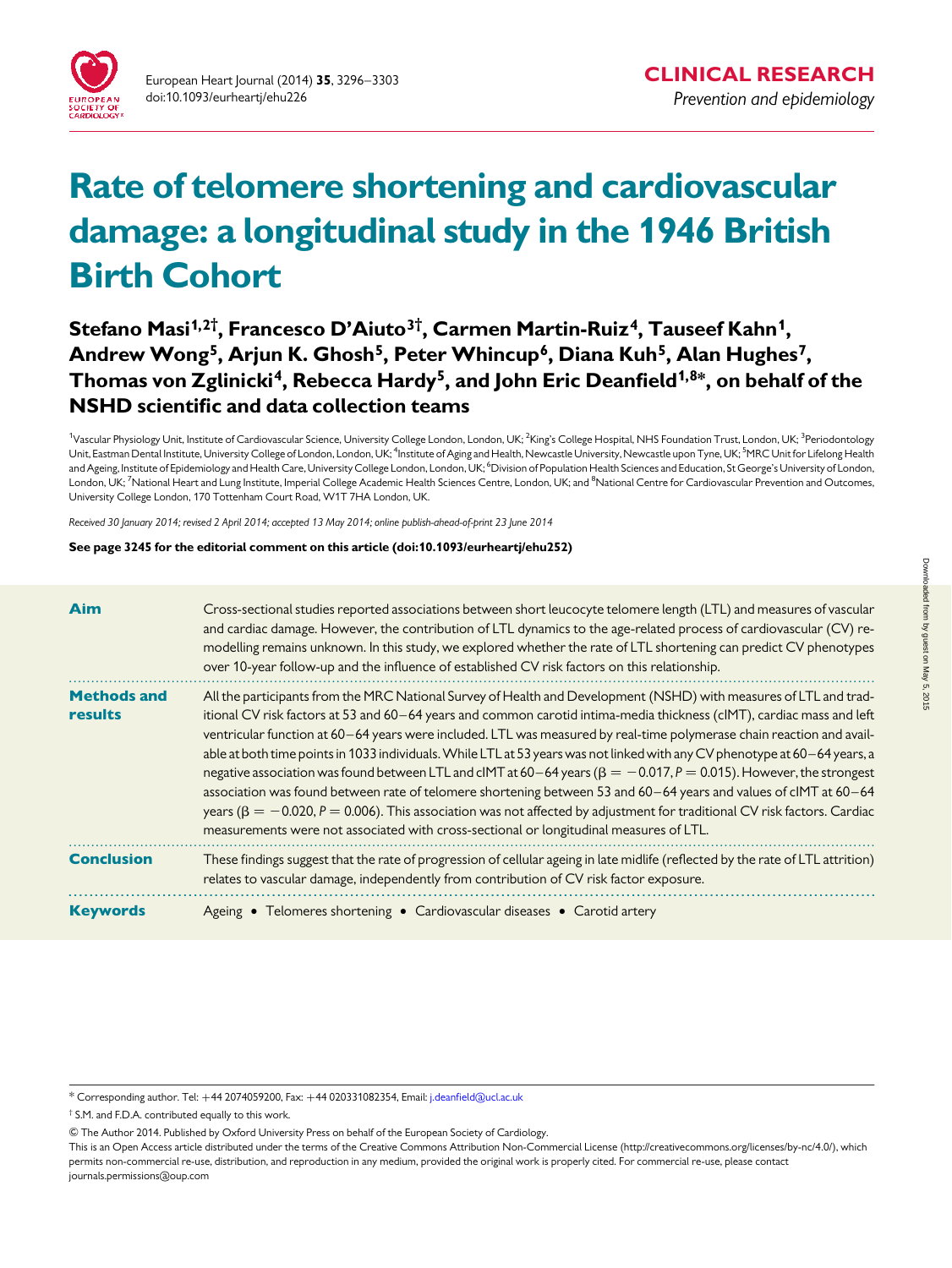European Heart Journal (2014) 35, 3296–3303 doi:10.1093/eurheartj/ehu226

# Rate of telomere shortening and cardiovascular damage: a longitudinal study in the 1946 British Birth Cohort

# $\sf{Stefano~Masi}^{1,2\dagger},$  Francesco D'Aiuto $^{3\dagger}$ , Carmen Martin-Ruiz $^4$ , Tauseef Kahn $^1$ , Andrew Wong<sup>5</sup>, Arjun K. Ghosh<sup>5</sup>, Peter Whincup<sup>6</sup>, Diana Kuh<sup>5</sup>, Alan Hughes<sup>7</sup>, Thomas von Zglinicki<sup>4</sup>, Rebecca Hardy<sup>5</sup>, and John Eric Deanfield<sup>1,8\*</sup>, on behalf of the NSHD scientific and data collection teams

<sup>1</sup>Vascular Physiology Unit, Institute of Cardiovascular Science, University College London, LKn<sup>2</sup>King's College Hospital, NHS Foundation Trust, London, UK; <sup>3</sup>Periodontology Unit, Eastman Dental Institute, University College of London, London, UK; <sup>4</sup>Institute of Aging and Health, Newcastle University, Newcastle upon Tyne, UK; <sup>5</sup>MRC Unit for Lifelong Health and Ageing, Institute of Epidemiology and Health Care, University College London, London, UK; <sup>6</sup>Division of Population Health Sciences and Education, St George's University of London, London, UK; <sup>7</sup>National Heart and Lung Institute, Imperial College Academic Health Sciences Centre, London, UK; and <sup>8</sup>National Centre for Cardiovascular Prevention and Outcomes, University College London, 170 Tottenham Court Road, W1T 7HA London, UK.

Received 30 January 2014; revised 2 April 2014; accepted 13 May 2014; online publish-ahead-of-print 23 June 2014

#### See page 3245 for the editorial comment on this article (doi:10.1093/eurheartj/ehu252)

| Aim                           | Cross-sectional studies reported associations between short leucocyte telomere length (LTL) and measures of vascular<br>and cardiac damage. However, the contribution of LTL dynamics to the age-related process of cardiovascular (CV) re-<br>modelling remains unknown. In this study, we explored whether the rate of LTL shortening can predict CV phenotypes<br>over 10-year follow-up and the influence of established CV risk factors on this relationship.                                                                                                                                                                                                                                                                                                                                                                                                                                                                                                                     |
|-------------------------------|----------------------------------------------------------------------------------------------------------------------------------------------------------------------------------------------------------------------------------------------------------------------------------------------------------------------------------------------------------------------------------------------------------------------------------------------------------------------------------------------------------------------------------------------------------------------------------------------------------------------------------------------------------------------------------------------------------------------------------------------------------------------------------------------------------------------------------------------------------------------------------------------------------------------------------------------------------------------------------------|
| <b>Methods and</b><br>results | All the participants from the MRC National Survey of Health and Development (NSHD) with measures of LTL and trad-<br>itional CV risk factors at 53 and 60-64 years and common carotid intima-media thickness (clMT), cardiac mass and left<br>ventricular function at 60-64 years were included. LTL was measured by real-time polymerase chain reaction and avail-<br>able at both time points in 1033 individuals. While LTL at 53 years was not linked with any CV phenotype at 60-64 years, a<br>negative association was found between LTL and cIMT at 60–64 years ( $\beta = -0.017$ , $P = 0.015$ ). However, the strongest<br>association was found between rate of telomere shortening between 53 and 60-64 years and values of cIMT at 60-64<br>years ( $\beta = -0.020$ , $P = 0.006$ ). This association was not affected by adjustment for traditional CV risk factors. Cardiac<br>measurements were not associated with cross-sectional or longitudinal measures of LTL. |
| <b>Conclusion</b>             | These findings suggest that the rate of progression of cellular ageing in late midlife (reflected by the rate of LTL attrition)<br>relates to vascular damage, independently from contribution of CV risk factor exposure.                                                                                                                                                                                                                                                                                                                                                                                                                                                                                                                                                                                                                                                                                                                                                             |
| <b>Keywords</b>               | Ageing • Telomeres shortening • Cardiovascular diseases • Carotid artery                                                                                                                                                                                                                                                                                                                                                                                                                                                                                                                                                                                                                                                                                                                                                                                                                                                                                                               |

\* Corresponding author. Tel: +44 2074059200, Fax: +44 020331082354, Email: [j.deanfield@ucl.ac.uk](mailto:j.deanfield@ucl.ac.uk)

<sup>†</sup> S.M. and F.D.A. contributed equally to this work.

<sup>&</sup>amp; The Author 2014. Published by Oxford University Press on behalf of the European Society of Cardiology.

This is an Open Access article distributed under the terms of the Creative Commons Attribution Non-Commercial License ([http:](http://creativecommons.org/licenses/by-nc/3.0/)//creativecommons.org/licenses/by-nc/4.0/), which permits non-commercial re-use, distribution, and reproduction in any medium, provided the original work is properly cited. For commercial re-use, please contact journals.permissions@oup.com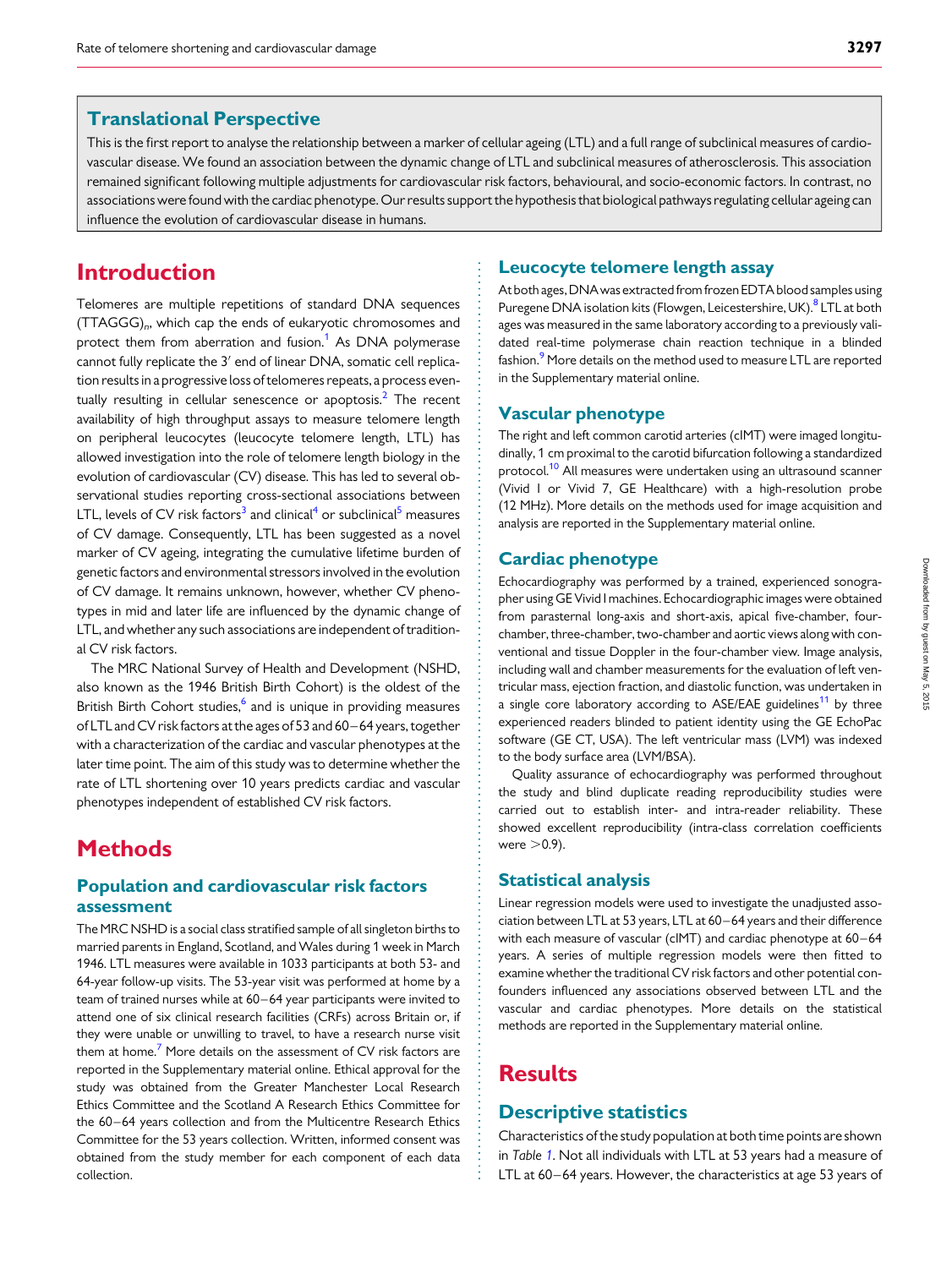## Translational Perspective

This is the first report to analyse the relationship between a marker of cellular ageing (LTL) and a full range of subclinical measures of cardiovascular disease. We found an association between the dynamic change of LTL and subclinical measures of atherosclerosis. This association remained significant following multiple adjustments for cardiovascular risk factors, behavioural, and socio-economic factors. In contrast, no associations were found with the cardiac phenotype. Our results support the hypothesisthat biological pathwaysregulating cellularageing can influence the evolution of cardiovascular disease in humans.

# Introduction

Telomeres are multiple repetitions of standard DNA sequences  $(TTAGGG)<sub>n</sub>$ , which cap the ends of eukaryotic chromosomes and protect them from aberration and fusion.<sup>[1](#page-6-0)</sup> As DNA polymerase cannot fully replicate the 3′ end of linear DNA, somatic cell replication results in aprogressive loss of telomeres repeats, a process even-tually resulting in cellular senescence or apoptosis.<sup>[2](#page-6-0)</sup> The recent availability of high throughput assays to measure telomere length on peripheral leucocytes (leucocyte telomere length, LTL) has allowed investigation into the role of telomere length biology in the evolution of cardiovascular (CV) disease. This has led to several observational studies reporting cross-sectional associations between LTL, levels of CV risk factors<sup>[3](#page-6-0)</sup> and clinical<sup>[4](#page-6-0)</sup> or subclinical<sup>5</sup> measures of CV damage. Consequently, LTL has been suggested as a novel marker of CV ageing, integrating the cumulative lifetime burden of genetic factors and environmental stressors involved in the evolution of CV damage. It remains unknown, however, whether CV phenotypes in mid and later life are influenced by the dynamic change of LTL, and whether any such associations are independent of traditional CV risk factors.

The MRC National Survey of Health and Development (NSHD, also known as the 1946 British Birth Cohort) is the oldest of the British Birth Cohort studies,<sup>[6](#page-6-0)</sup> and is unique in providing measures of LTL and CV risk factors atthe ages of 53 and 60–64 years, together with a characterization of the cardiac and vascular phenotypes at the later time point. The aim of this study was to determine whether the rate of LTL shortening over 10 years predicts cardiac and vascular phenotypes independent of established CV risk factors.

# **Methods**

## Population and cardiovascular risk factors assessment

The MRC NSHD is a social class stratified sample of all singleton births to married parents in England, Scotland, and Wales during 1 week in March 1946. LTL measures were available in 1033 participants at both 53- and 64-year follow-up visits. The 53-year visit was performed at home by a team of trained nurses while at 60–64 year participants were invited to attend one of six clinical research facilities (CRFs) across Britain or, if they were unable or unwilling to travel, to have a research nurse visit them at home.<sup>[7](#page-6-0)</sup> More details on the assessment of CV risk factors are reported in the [Supplementary material online](http://eurheartj.oxfordjournals.org/lookup/suppl/doi:10.1093/eurheartj/ehu226/-/DC1). Ethical approval for the study was obtained from the Greater Manchester Local Research Ethics Committee and the Scotland A Research Ethics Committee for the 60–64 years collection and from the Multicentre Research Ethics Committee for the 53 years collection. Written, informed consent was obtained from the study member for each component of each data collection.

## Leucocyte telomere length assay

At both ages, DNA was extracted from frozen EDTA blood samples using Puregene DNA isolation kits (Flowgen, Leicestershire, UK).<sup>[8](#page-6-0)</sup> LTL at both ages was measured in the same laboratory according to a previously validated real-time polymerase chain reaction technique in a blinded fashion.<sup>[9](#page-6-0)</sup> More details on the method used to measure LTL are reported in the [Supplementary material online](http://eurheartj.oxfordjournals.org/lookup/suppl/doi:10.1093/eurheartj/ehu226/-/DC1).

## Vascular phenotype

The right and left common carotid arteries (cIMT) were imaged longitudinally, 1 cm proximal to the carotid bifurcation following a standardized protocol.<sup>[10](#page-6-0)</sup> All measures were undertaken using an ultrasound scanner (Vivid I or Vivid 7, GE Healthcare) with a high-resolution probe (12 MHz). More details on the methods used for image acquisition and analysis are reported in the [Supplementary material online](http://eurheartj.oxfordjournals.org/lookup/suppl/doi:10.1093/eurheartj/ehu226/-/DC1).

## Cardiac phenotype

Echocardiography was performed by a trained, experienced sonographer using GE Vivid I machines. Echocardiographic images were obtained from parasternal long-axis and short-axis, apical five-chamber, fourchamber, three-chamber, two-chamber and aortic views along with conventional and tissue Doppler in the four-chamber view. Image analysis, including wall and chamber measurements for the evaluation of left ventricular mass, ejection fraction, and diastolic function, was undertaken in a single core laboratory according to ASE/EAE guidelines<sup>[11](#page-6-0)</sup> by three experienced readers blinded to patient identity using the GE EchoPac software (GE CT, USA). The left ventricular mass (LVM) was indexed to the body surface area (LVM/BSA).

Quality assurance of echocardiography was performed throughout the study and blind duplicate reading reproducibility studies were carried out to establish inter- and intra-reader reliability. These showed excellent reproducibility (intra-class correlation coefficients were  $>0.9$ ).

### Statistical analysis

Linear regression models were used to investigate the unadjusted association between LTL at 53 years, LTL at 60–64 years and their difference with each measure of vascular (cIMT) and cardiac phenotype at 60–64 years. A series of multiple regression models were then fitted to examine whether the traditional CV risk factors and other potential confounders influenced any associations observed between LTL and the vascular and cardiac phenotypes. More details on the statistical methods are reported in the [Supplementary material online](http://eurheartj.oxfordjournals.org/lookup/suppl/doi:10.1093/eurheartj/ehu226/-/DC1).

# **Results**

## Descriptive statistics

Characteristics of the study population at both time points are shown in Table [1](#page-2-0). Not all individuals with LTL at 53 years had a measure of LTL at 60–64 years. However, the characteristics at age 53 years of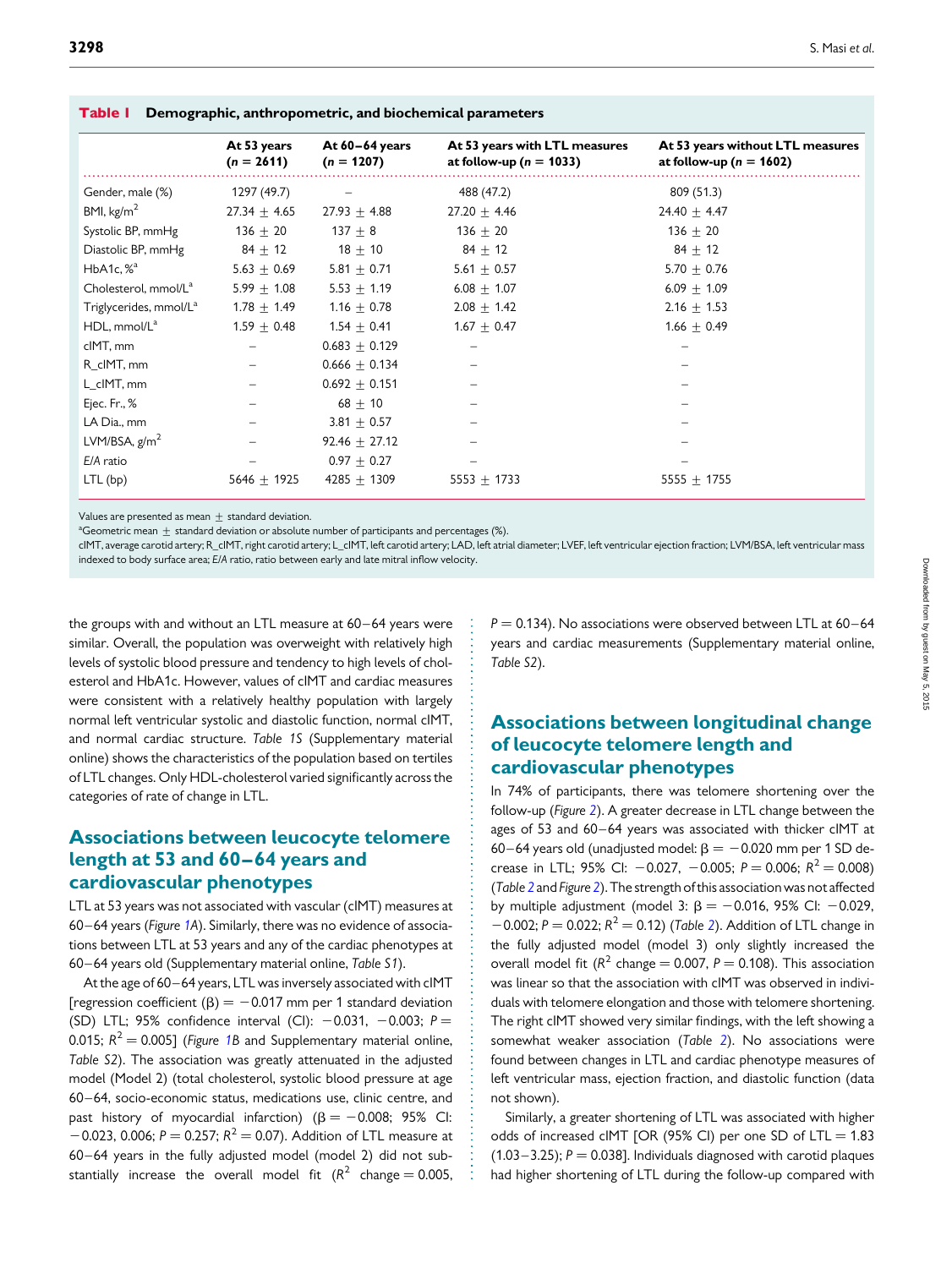|                                    | At 53 years<br>$(n = 2611)$ | At 60-64 years<br>$(n = 1207)$ | At 53 years with LTL measures<br>at follow-up ( $n = 1033$ ) | At 53 years without LTL measures<br>at follow-up ( $n = 1602$ ) |
|------------------------------------|-----------------------------|--------------------------------|--------------------------------------------------------------|-----------------------------------------------------------------|
| Gender, male (%)                   | 1297 (49.7)                 |                                | 488 (47.2)                                                   | 809 (51.3)                                                      |
| BMI, kg/m <sup>2</sup>             | $27.34 \pm 4.65$            | $27.93 \pm 4.88$               | $27.20 \pm 4.46$                                             | 24.40 $\pm$ 4.47                                                |
| Systolic BP, mmHg                  | $136 \pm 20$                | 137 $\pm$ 8                    | $136 + 20$                                                   | $136 \pm 20$                                                    |
| Diastolic BP, mmHg                 | $84 \pm 12$                 | 18 $\pm$ 10                    | $84 \pm 12$                                                  | $84 \pm 12$                                                     |
| HbA1c, $\%^a$                      | $5.63 \pm 0.69$             | 5.81 $\pm$ 0.71                | 5.61 $\pm$ 0.57                                              | $5.70 \pm 0.76$                                                 |
| Cholesterol, mmol/L <sup>a</sup>   | $5.99 \pm 1.08$             | $5.53 \pm 1.19$                | 6.08 $\pm$ 1.07                                              | 6.09 $\pm$ 1.09                                                 |
| Triglycerides, mmol/L <sup>a</sup> | $1.78 \pm 1.49$             | $1.16 \pm 0.78$                | $2.08 \pm 1.42$                                              | $2.16 \pm 1.53$                                                 |
| $HDL$ , mmol/ $L^a$                | $1.59 \pm 0.48$             | $1.54 \pm 0.41$                | $1.67 + 0.47$                                                | $1.66 \pm 0.49$                                                 |
| clMT, mm                           |                             | $0.683 \pm 0.129$              |                                                              |                                                                 |
| R_clMT, mm                         |                             | $0.666 \pm 0.134$              |                                                              |                                                                 |
| L_clMT, mm                         |                             | $0.692 \pm 0.151$              |                                                              |                                                                 |
| Ejec. Fr., $%$                     |                             | 68 $\pm$ 10                    |                                                              |                                                                 |
| LA Dia., mm                        |                             | 3.81 $\pm$ 0.57                |                                                              |                                                                 |
| LVM/BSA, $g/m2$                    |                             | $92.46 \pm 27.12$              |                                                              |                                                                 |
| E/A ratio                          |                             | $0.97 \pm 0.27$                |                                                              |                                                                 |
| $LTL$ (bp)                         | 5646 $\pm$ 1925             | 4285 $\pm$ 1309                | 5553 $\pm$ 1733                                              | 5555 $\pm$ 1755                                                 |

<span id="page-2-0"></span>

|  |  | Table I Demographic, anthropometric, and biochemical parameters |  |  |
|--|--|-----------------------------------------------------------------|--|--|
|--|--|-----------------------------------------------------------------|--|--|

Values are presented as mean  $\pm$  standard deviation.

 $^{\rm a}$ Geometric mean  $\pm$  standard deviation or absolute number of participants and percentages (%).

cIMT, average carotid artery; R\_cIMT, right carotid artery; L\_cIMT, left carotid artery; LAD, left atrial diameter; LVEF, left ventricular ejection fraction; LVM/BSA, left ventricular mass indexed to body surface area; E/A ratio, ratio between early and late mitral inflow velocity.

the groups with and without an LTL measure at 60–64 years were similar. Overall, the population was overweight with relatively high levels of systolic blood pressure and tendency to high levels of cholesterol and HbA1c. However, values of cIMT and cardiac measures were consistent with a relatively healthy population with largely normal left ventricular systolic and diastolic function, normal cIMT, and normal cardiac structure. [Table 1S](http://eurheartj.oxfordjournals.org/lookup/suppl/doi:10.1093/eurheartj/ehu226/-/DC1) (Supplementary material online) shows the characteristics of the population based on tertiles of LTL changes. Only HDL-cholesterol varied significantly across the categories of rate of change in LTL.

## Associations between leucocyte telomere length at 53 and 60–64 years and cardiovascular phenotypes

LTL at 53 years was not associated with vascular (cIMT) measures at 60–64 years (Figure [1](#page-3-0)A). Similarly, there was no evidence of associations between LTL at 53 years and any of the cardiac phenotypes at 60–64 years old [\(Supplementary material online,](http://eurheartj.oxfordjournals.org/lookup/suppl/doi:10.1093/eurheartj/ehu226/-/DC1) Table S1).

At the age of 60–64 years, LTL was inversely associated with cIMT [regression coefficient ( $\beta$ ) = -0.017 mm per 1 standard deviation (SD) LTL; 95% confidence interval (CI):  $-0.031$ ,  $-0.003$ ; P = 0.0[1](#page-3-0)5;  $R^2 = 0.005$ ] (Figure 1B and [Supplementary material online,](http://eurheartj.oxfordjournals.org/lookup/suppl/doi:10.1093/eurheartj/ehu226/-/DC1) [Table S2](http://eurheartj.oxfordjournals.org/lookup/suppl/doi:10.1093/eurheartj/ehu226/-/DC1)). The association was greatly attenuated in the adjusted model (Model 2) (total cholesterol, systolic blood pressure at age 60–64, socio-economic status, medications use, clinic centre, and past history of myocardial infarction) ( $\beta = -0.008$ ; 95% CI:  $-0.023$ , 0.006; P = 0.257; R<sup>2</sup> = 0.07). Addition of LTL measure at 60–64 years in the fully adjusted model (model 2) did not substantially increase the overall model fit  $(R^2 \text{ change} = 0.005,$ 

 $P = 0.134$ ). No associations were observed between LTL at 60–64 years and cardiac measurements ([Supplementary material online,](http://eurheartj.oxfordjournals.org/lookup/suppl/doi:10.1093/eurheartj/ehu226/-/DC1) [Table S2](http://eurheartj.oxfordjournals.org/lookup/suppl/doi:10.1093/eurheartj/ehu226/-/DC1)).

## Associations between longitudinal change of leucocyte telomere length and cardiovascular phenotypes

In 74% of participants, there was telomere shortening over the follow-up (Figure [2](#page-4-0)). A greater decrease in LTL change between the ages of 53 and 60–64 years was associated with thicker cIMT at 60–64 years old (unadjusted model:  $\beta = -0.020$  mm per 1 SD decrease in LTL; 95% CI:  $-0.027$ ,  $-0.005$ ;  $P = 0.006$ ;  $R^2 = 0.008$ ) (Table  $2$  and Figure  $2$ ). The strength of this association was not affected by multiple adjustment (model 3:  $\beta = -0.016$ , 95% Cl: -0.029,  $-0.002$  $-0.002$ ; P = 0.022; R<sup>2</sup> = 0.12) (Table 2). Addition of LTL change in the fully adjusted model (model 3) only slightly increased the overall model fit ( $R^2$  change = 0.007, P = 0.108). This association was linear so that the association with cIMT was observed in individuals with telomere elongation and those with telomere shortening. The right cIMT showed very similar findings, with the left showing a somewhat weaker association (Table [2](#page-4-0)). No associations were found between changes in LTL and cardiac phenotype measures of left ventricular mass, ejection fraction, and diastolic function (data not shown).

Similarly, a greater shortening of LTL was associated with higher odds of increased cIMT [OR (95% CI) per one SD of LTL  $= 1.83$  $(1.03-3.25)$ ;  $P = 0.038$ ]. Individuals diagnosed with carotid plaques had higher shortening of LTL during the follow-up compared with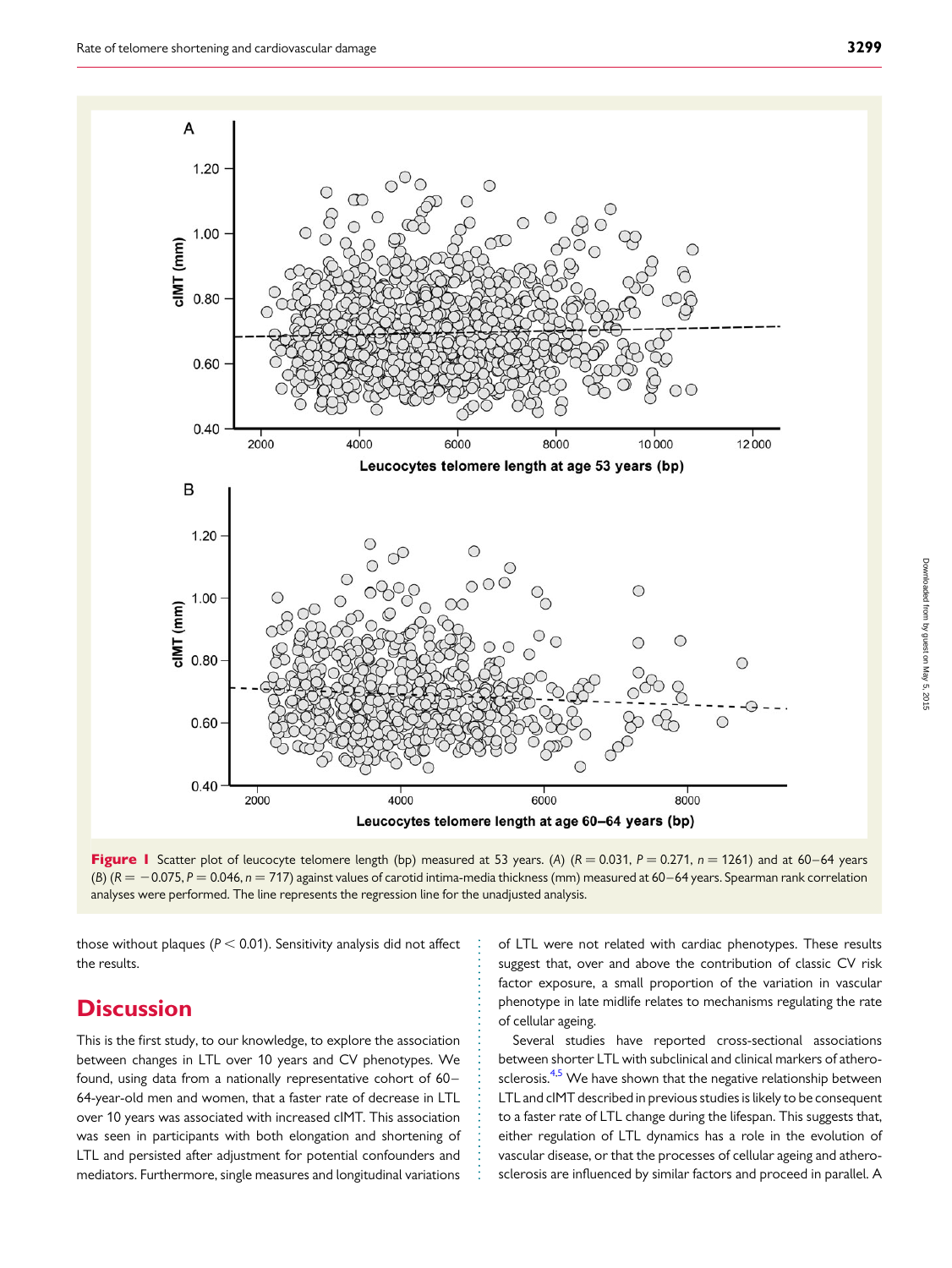<span id="page-3-0"></span>

Figure 1 Scatter plot of leucocyte telomere length (bp) measured at 53 years. (A)  $(R = 0.031, P = 0.271, n = 1261)$  and at 60–64 years (B)  $(R = -0.075, P = 0.046, n = 717)$  against values of carotid intima-media thickness (mm) measured at 60–64 years. Spearman rank correlation analyses were performed. The line represents the regression line for the unadjusted analysis.

those without plaques ( $P < 0.01$ ). Sensitivity analysis did not affect the results.

# **Discussion**

This is the first study, to our knowledge, to explore the association between changes in LTL over 10 years and CV phenotypes. We found, using data from a nationally representative cohort of 60– 64-year-old men and women, that a faster rate of decrease in LTL over 10 years was associated with increased cIMT. This association was seen in participants with both elongation and shortening of LTL and persisted after adjustment for potential confounders and mediators. Furthermore, single measures and longitudinal variations

of LTL were not related with cardiac phenotypes. These results suggest that, over and above the contribution of classic CV risk factor exposure, a small proportion of the variation in vascular phenotype in late midlife relates to mechanisms regulating the rate of cellular ageing.

Several studies have reported cross-sectional associations between shorter LTL with subclinical and clinical markers of atherosclerosis. $4.5$  We have shown that the negative relationship between LTL and cIMT described in previous studies is likely to be consequent to a faster rate of LTL change during the lifespan. This suggests that, either regulation of LTL dynamics has a role in the evolution of vascular disease, or that the processes of cellular ageing and atherosclerosis are influenced by similar factors and proceed in parallel. A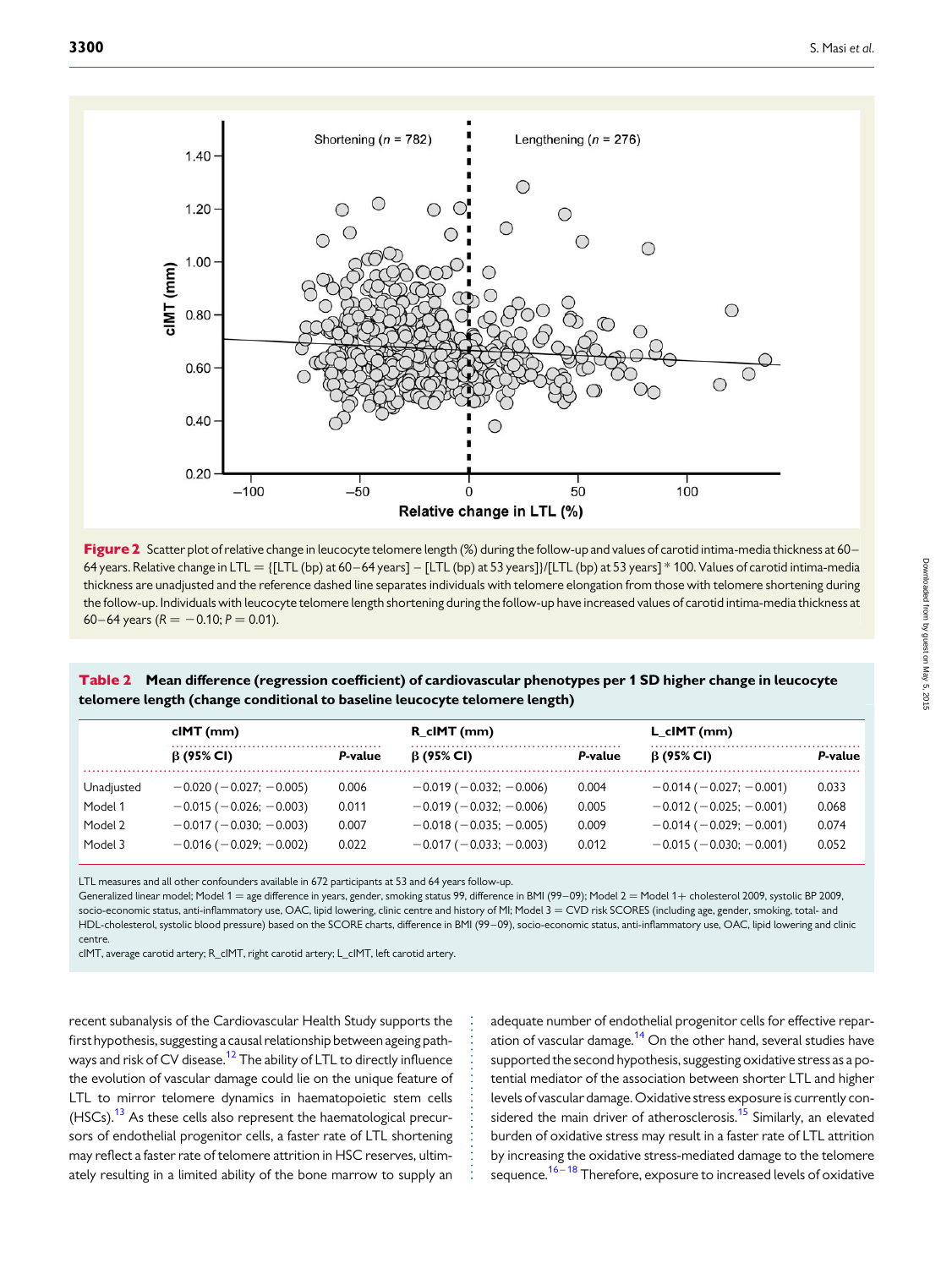<span id="page-4-0"></span>

Figure 2 Scatter plot of relative change in leucocyte telomere length (%) during the follow-up and values of carotid intima-media thickness at 60-64 years. Relative change in LTL ¼ {[LTL (bp) at 60–64 years] – [LTL (bp) at 53 years]}/[LTL (bp) at 53 years] \* 100. Values of carotid intima-media thickness are unadjusted and the reference dashed line separates individuals with telomere elongation from those with telomere shortening during the follow-up. Individuals with leucocyte telomere length shortening during the follow-up have increased values of carotid intima-media thickness at 60–64 years ( $R = -0.10; P = 0.01$ ).

Table 2 Mean difference (regression coefficient) of cardiovascular phenotypes per 1 SD higher change in leucocyte telomere length (change conditional to baseline leucocyte telomere length)

|            | cIMT (mm)                        |         | R cIMT (mm)                      |         | L $clMT$ (mm)                    |         |
|------------|----------------------------------|---------|----------------------------------|---------|----------------------------------|---------|
|            | $\beta$ (95% CI)                 | P-value | $\beta$ (95% CI)                 | P-value | $\beta$ (95% CI)                 | P-value |
| Unadiusted | $-0.020$ ( $-0.027$ ; $-0.005$ ) | 0.006   | $-0.019(-0.032; -0.006)$         | 0.004   | $-0.014$ ( $-0.027$ ; $-0.001$ ) | 0.033   |
| Model 1    | $-0.015$ ( $-0.026$ ; $-0.003$ ) | 0.011   | $-0.019(-0.032; -0.006)$         | 0.005   | $-0.012$ ( $-0.025$ ; $-0.001$ ) | 0.068   |
| Model 2    | $-0.017(-0.030;-0.003)$          | 0.007   | $-0.018$ ( $-0.035$ ; $-0.005$ ) | 0.009   | $-0.014$ ( $-0.029$ ; $-0.001$ ) | 0.074   |
| Model 3    | $-0.016$ ( $-0.029$ ; $-0.002$ ) | 0.022   | $-0.017(-0.033; -0.003)$         | 0.012   | $-0.015$ ( $-0.030$ ; $-0.001$ ) | 0.052   |

LTL measures and all other confounders available in 672 participants at 53 and 64 years follow-up.

Generalized linear model; Model 1 = age difference in years, gender, smoking status 99, difference in BMI (99-09); Model 2 = Model 1+ cholesterol 2009, systolic BP 2009, socio-economic status, anti-inflammatory use, OAC, lipid lowering, clinic centre and history of MI; Model 3 = CVD risk SCORES (including age, gender, smoking, total- and HDL-cholesterol, systolic blood pressure) based on the SCORE charts, difference in BMI (99–09), socio-economic status, anti-inflammatory use, OAC, lipid lowering and clinic centre

cIMT, average carotid artery; R\_cIMT, right carotid artery; L\_cIMT, left carotid artery.

recent subanalysis of the Cardiovascular Health Study supports the first hypothesis, suggesting acausal relationship between ageing pathways and risk of CV disease.<sup>12</sup> The ability of LTL to directly influence the evolution of vascular damage could lie on the unique feature of LTL to mirror telomere dynamics in haematopoietic stem cells  $(HSCs).<sup>13</sup>$  $(HSCs).<sup>13</sup>$  $(HSCs).<sup>13</sup>$  As these cells also represent the haematological precursors of endothelial progenitor cells, a faster rate of LTL shortening may reflect a faster rate of telomere attrition in HSC reserves, ultimately resulting in a limited ability of the bone marrow to supply an

adequate number of endothelial progenitor cells for effective repar-ation of vascular damage.<sup>[14](#page-6-0)</sup> On the other hand, several studies have supported the second hypothesis, suggesting oxidative stress as a potential mediator of the association between shorter LTL and higher levels of vascular damage. Oxidative stress exposure is currently con-sidered the main driver of atherosclerosis.<sup>[15](#page-6-0)</sup> Similarly, an elevated burden of oxidative stress may result in a faster rate of LTL attrition by increasing the oxidative stress-mediated damage to the telomere sequence.<sup>[16](#page-6-0)-[18](#page-6-0)</sup> Therefore, exposure to increased levels of oxidative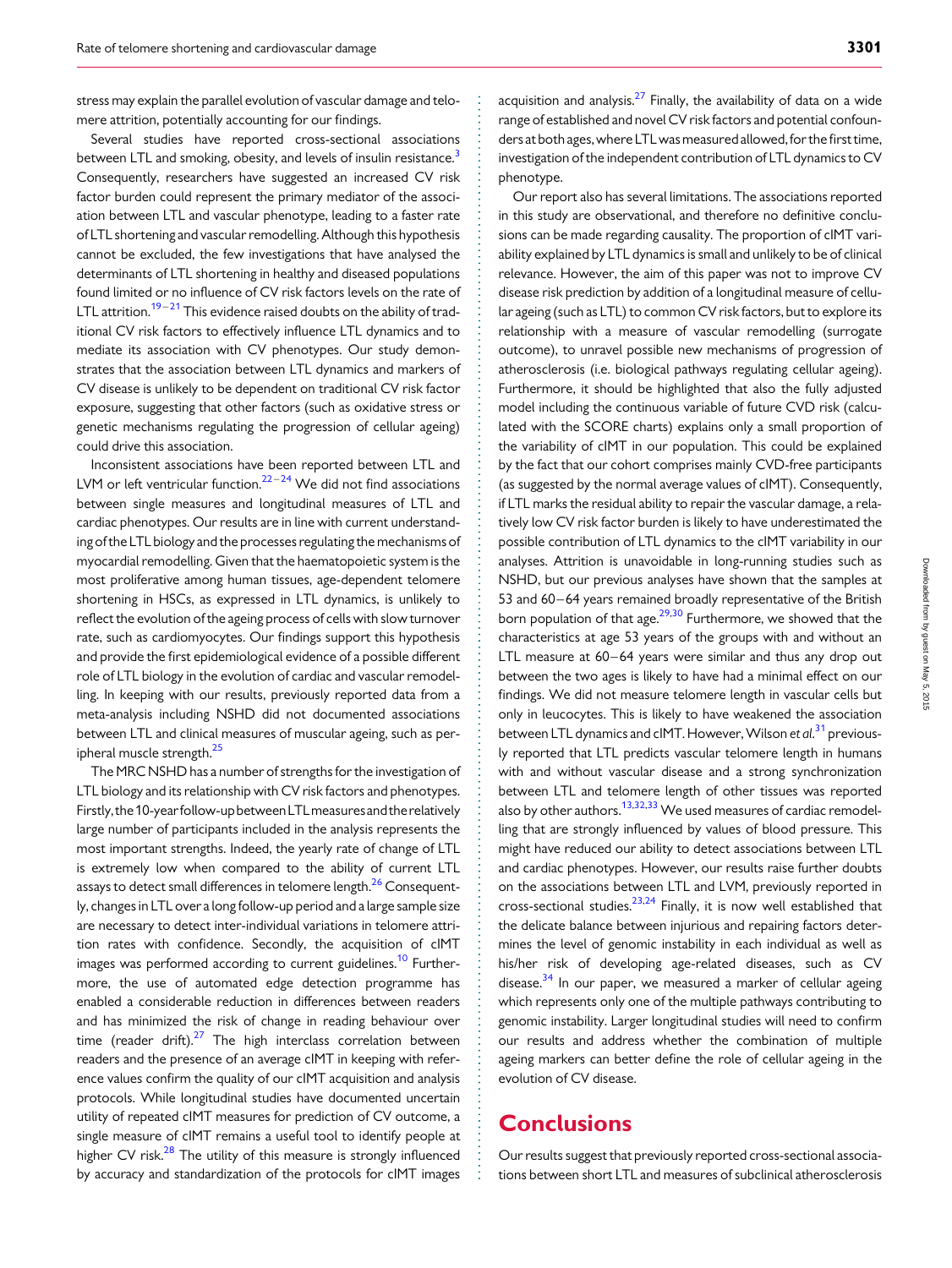stress may explain the parallel evolution of vascular damage and telomere attrition, potentially accounting for our findings.

Several studies have reported cross-sectional associations between LTL and smoking, obesity, and levels of insulin resistance.<sup>[3](#page-6-0)</sup> Consequently, researchers have suggested an increased CV risk factor burden could represent the primary mediator of the association between LTL and vascular phenotype, leading to a faster rate of LTL shortening and vascular remodelling. Although this hypothesis cannot be excluded, the few investigations that have analysed the determinants of LTL shortening in healthy and diseased populations found limited or no influence of CV risk factors levels on the rate of LTL attrition.<sup>19-[21](#page-6-0)</sup> This evidence raised doubts on the ability of traditional CV risk factors to effectively influence LTL dynamics and to mediate its association with CV phenotypes. Our study demonstrates that the association between LTL dynamics and markers of CV disease is unlikely to be dependent on traditional CV risk factor exposure, suggesting that other factors (such as oxidative stress or genetic mechanisms regulating the progression of cellular ageing) could drive this association.

Inconsistent associations have been reported between LTL and LVM or left ventricular function. $22 - 24$  $22 - 24$  $22 - 24$  We did not find associations between single measures and longitudinal measures of LTL and cardiac phenotypes. Our results are in line with current understanding of the LTLbiologyand the processes regulating the mechanisms of myocardial remodelling. Given that the haematopoietic system is the most proliferative among human tissues, age-dependent telomere shortening in HSCs, as expressed in LTL dynamics, is unlikely to reflect the evolution of the ageing process of cells with slow turnover rate, such as cardiomyocytes. Our findings support this hypothesis and provide the first epidemiological evidence of a possible different role of LTL biology in the evolution of cardiac and vascular remodelling. In keeping with our results, previously reported data from a meta-analysis including NSHD did not documented associations between LTL and clinical measures of muscular ageing, such as per-ipheral muscle strength.<sup>[25](#page-6-0)</sup>

The MRC NSHD has a number of strengths for the investigation of LTL biology and its relationship with CV risk factors and phenotypes. Firstly,the10-yearfollow-upbetweenLTLmeasuresandtherelatively large number of participants included in the analysis represents the most important strengths. Indeed, the yearly rate of change of LTL is extremely low when compared to the ability of current LTL assays to detect small differences in telomere length.<sup>[26](#page-6-0)</sup> Consequently, changes in LTL overa long follow-up period and a large sample size are necessary to detect inter-individual variations in telomere attrition rates with confidence. Secondly, the acquisition of cIMT images was performed according to current guidelines.<sup>10</sup> Furthermore, the use of automated edge detection programme has enabled a considerable reduction in differences between readers and has minimized the risk of change in reading behaviour over time (reader drift). $27$  The high interclass correlation between readers and the presence of an average cIMT in keeping with reference values confirm the quality of our cIMT acquisition and analysis protocols. While longitudinal studies have documented uncertain utility of repeated cIMT measures for prediction of CV outcome, a single measure of cIMT remains a useful tool to identify people at higher CV risk. $^{28}$  $^{28}$  $^{28}$  The utility of this measure is strongly influenced by accuracy and standardization of the protocols for cIMT images acquisition and analysis. $27$  Finally, the availability of data on a wide range of established and novel CV risk factors and potential confoundersatbothages,where LTLwasmeasuredallowed,forthe first time, investigation of the independent contribution of LTL dynamics to CV phenotype.

Our report also has several limitations. The associations reported in this study are observational, and therefore no definitive conclusions can be made regarding causality. The proportion of cIMT variability explained by LTL dynamics is small and unlikely to be of clinical relevance. However, the aim of this paper was not to improve CV disease risk prediction by addition of a longitudinal measure of cellular ageing (such as LTL) to common CV risk factors, but to explore its relationship with a measure of vascular remodelling (surrogate outcome), to unravel possible new mechanisms of progression of atherosclerosis (i.e. biological pathways regulating cellular ageing). Furthermore, it should be highlighted that also the fully adjusted model including the continuous variable of future CVD risk (calculated with the SCORE charts) explains only a small proportion of the variability of cIMT in our population. This could be explained by the fact that our cohort comprises mainly CVD-free participants (as suggested by the normal average values of cIMT). Consequently, if LTL marks the residual ability to repair the vascular damage, a relatively low CV risk factor burden is likely to have underestimated the possible contribution of LTL dynamics to the cIMT variability in our analyses. Attrition is unavoidable in long-running studies such as NSHD, but our previous analyses have shown that the samples at 53 and 60–64 years remained broadly representative of the British born population of that age. $29,30$  $29,30$  $29,30$  Furthermore, we showed that the characteristics at age 53 years of the groups with and without an LTL measure at 60–64 years were similar and thus any drop out between the two ages is likely to have had a minimal effect on our findings. We did not measure telomere length in vascular cells but only in leucocytes. This is likely to have weakened the association between LTL dynamics and cIMT. However, Wilson et al.<sup>[31](#page-7-0)</sup> previously reported that LTL predicts vascular telomere length in humans with and without vascular disease and a strong synchronization between LTL and telomere length of other tissues was reported also by other authors.<sup>[13,](#page-6-0)[32,33](#page-7-0)</sup> We used measures of cardiac remodelling that are strongly influenced by values of blood pressure. This might have reduced our ability to detect associations between LTL and cardiac phenotypes. However, our results raise further doubts on the associations between LTL and LVM, previously reported in cross-sectional studies. $23,24$  $23,24$  Finally, it is now well established that the delicate balance between injurious and repairing factors determines the level of genomic instability in each individual as well as his/her risk of developing age-related diseases, such as CV disease. $34$  In our paper, we measured a marker of cellular ageing which represents only one of the multiple pathways contributing to genomic instability. Larger longitudinal studies will need to confirm our results and address whether the combination of multiple ageing markers can better define the role of cellular ageing in the evolution of CV disease.

## **Conclusions**

Our results suggest that previously reported cross-sectional associations between short LTL and measures of subclinical atherosclerosis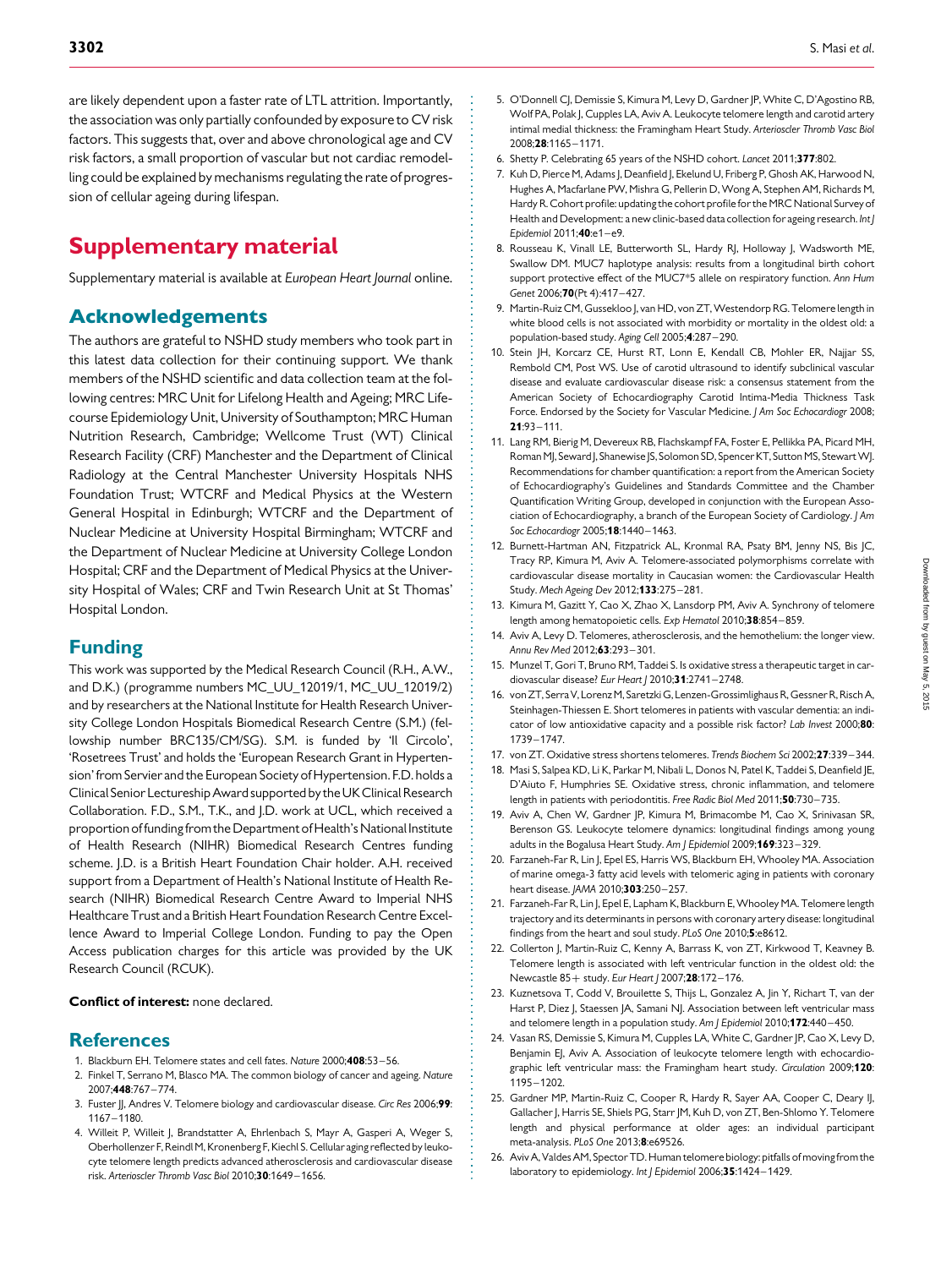<span id="page-6-0"></span>are likely dependent upon a faster rate of LTL attrition. Importantly, the association was only partially confounded by exposure to CV risk factors. This suggests that, over and above chronological age and CV risk factors, a small proportion of vascular but not cardiac remodelling could be explained by mechanisms regulating the rate of progression of cellular ageing during lifespan.

# Supplementary material

[Supplementary material is available at](http://eurheartj.oxfordjournals.org/lookup/suppl/doi:10.1093/eurheartj/ehu226/-/DC1) European Heart Journal online.

## Acknowledgements

The authors are grateful to NSHD study members who took part in this latest data collection for their continuing support. We thank members of the NSHD scientific and data collection team at the following centres: MRC Unit for Lifelong Health and Ageing; MRC Lifecourse Epidemiology Unit, University of Southampton; MRC Human Nutrition Research, Cambridge; Wellcome Trust (WT) Clinical Research Facility (CRF) Manchester and the Department of Clinical Radiology at the Central Manchester University Hospitals NHS Foundation Trust; WTCRF and Medical Physics at the Western General Hospital in Edinburgh; WTCRF and the Department of Nuclear Medicine at University Hospital Birmingham; WTCRF and the Department of Nuclear Medicine at University College London Hospital; CRF and the Department of Medical Physics at the University Hospital of Wales; CRF and Twin Research Unit at St Thomas' Hospital London.

## Funding

This work was supported by the Medical Research Council (R.H., A.W., and D.K.) (programme numbers MC\_UU\_12019/1, MC\_UU\_12019/2) and by researchers at the National Institute for Health Research University College London Hospitals Biomedical Research Centre (S.M.) (fellowship number BRC135/CM/SG). S.M. is funded by 'Il Circolo', 'Rosetrees Trust' and holds the 'European Research Grant in Hypertension' from Servierand the European Society of Hypertension. F.D. holds a Clinical Senior Lectureship Award supported by the UK Clinical Research Collaboration. F.D., S.M., T.K., and J.D. work at UCL, which received a proportion of funding from the Department of Health's National Institute of Health Research (NIHR) Biomedical Research Centres funding scheme. J.D. is a British Heart Foundation Chair holder. A.H. received support from a Department of Health's National Institute of Health Research (NIHR) Biomedical Research Centre Award to Imperial NHS Healthcare Trust and a British Heart Foundation Research Centre Excellence Award to Imperial College London. Funding to pay the Open Access publication charges for this article was provided by the UK Research Council (RCUK).

#### Conflict of interest: none declared.

## **References**

- 1. Blackburn EH. Telomere states and cell fates. Nature 2000;408:53–56.
- 2. Finkel T, Serrano M, Blasco MA. The common biology of cancer and ageing. Nature 2007;448:767–774.
- 3. Fuster JJ, Andres V. Telomere biology and cardiovascular disease. Circ Res 2006;99: 1167–1180.
- 4. Willeit P, Willeit J, Brandstatter A, Ehrlenbach S, Mayr A, Gasperi A, Weger S, Oberhollenzer F, Reindl M, Kronenberg F, Kiechl S. Cellular aging reflected by leukocyte telomere length predicts advanced atherosclerosis and cardiovascular disease risk. Arterioscler Thromb Vasc Biol 2010;30:1649–1656.
- 5. O'Donnell CJ, Demissie S, Kimura M, Levy D, Gardner JP, White C, D'Agostino RB, Wolf PA, Polak J, Cupples LA, Aviv A. Leukocyte telomere length and carotid artery intimal medial thickness: the Framingham Heart Study. Arterioscler Thromb Vasc Biol 2008;28:1165–1171.
- 6. Shetty P. Celebrating 65 years of the NSHD cohort. Lancet 2011;377:802.
- 7. Kuh D, Pierce M, Adams J, Deanfield J, Ekelund U, Friberg P, Ghosh AK, Harwood N, Hughes A, Macfarlane PW, Mishra G, Pellerin D, Wong A, Stephen AM, Richards M, Hardy R. Cohort profile: updating the cohort profile for the MRC National Survey of Health and Development: a new clinic-based data collection for ageing research. Int J Epidemiol 2011;40:e1–e9.
- 8. Rousseau K, Vinall LE, Butterworth SL, Hardy RJ, Holloway J, Wadsworth ME, Swallow DM. MUC7 haplotype analysis: results from a longitudinal birth cohort support protective effect of the MUC7\*5 allele on respiratory function. Ann Hum Genet 2006;70(Pt 4):417–427.
- 9. Martin-Ruiz CM, Gussekloo J, van HD, von ZT, Westendorp RG. Telomere length in white blood cells is not associated with morbidity or mortality in the oldest old: a population-based study. Aging Cell 2005;4:287–290.
- 10. Stein JH, Korcarz CE, Hurst RT, Lonn E, Kendall CB, Mohler ER, Najjar SS, Rembold CM, Post WS. Use of carotid ultrasound to identify subclinical vascular disease and evaluate cardiovascular disease risk: a consensus statement from the American Society of Echocardiography Carotid Intima-Media Thickness Task Force. Endorsed by the Society for Vascular Medicine. J Am Soc Echocardiogr 2008; 21:93–111.
- 11. Lang RM, Bierig M, Devereux RB, Flachskampf FA, Foster E, Pellikka PA, Picard MH, Roman MJ, Seward J, Shanewise JS, Solomon SD, Spencer KT, Sutton MS, Stewart WJ. Recommendations for chamber quantification: a report from the American Society of Echocardiography's Guidelines and Standards Committee and the Chamber Quantification Writing Group, developed in conjunction with the European Association of Echocardiography, a branch of the European Society of Cardiology. J Am Soc Echocardiogr 2005;18:1440–1463.
- 12. Burnett-Hartman AN, Fitzpatrick AL, Kronmal RA, Psaty BM, Jenny NS, Bis JC, Tracy RP, Kimura M, Aviv A. Telomere-associated polymorphisms correlate with cardiovascular disease mortality in Caucasian women: the Cardiovascular Health Study. Mech Ageing Dev 2012;133:275–281.
- 13. Kimura M, Gazitt Y, Cao X, Zhao X, Lansdorp PM, Aviv A. Synchrony of telomere length among hematopoietic cells. Exp Hematol 2010;38:854-859.
- 14. Aviv A, Levy D. Telomeres, atherosclerosis, and the hemothelium: the longer view. Annu Rev Med 2012;63:293-301.
- 15. Munzel T, Gori T, Bruno RM, Taddei S. Is oxidative stress a therapeutic target in cardiovascular disease? Eur Heart J 2010;31:2741-2748.
- 16. vonZT, SerraV, LorenzM, Saretzki G, Lenzen-GrossimlighausR, GessnerR, Risch A, Steinhagen-Thiessen E. Short telomeres in patients with vascular dementia: an indicator of low antioxidative capacity and a possible risk factor? Lab Invest 2000;80: 1739–1747.
- 17. von ZT. Oxidative stress shortens telomeres. Trends Biochem Sci 2002;27:339-344.
- 18. Masi S, Salpea KD, Li K, Parkar M, Nibali L, Donos N, Patel K, Taddei S, Deanfield JE, D'Aiuto F, Humphries SE. Oxidative stress, chronic inflammation, and telomere length in patients with periodontitis. Free Radic Biol Med 2011;50:730–735.
- 19. Aviv A, Chen W, Gardner JP, Kimura M, Brimacombe M, Cao X, Srinivasan SR, Berenson GS. Leukocyte telomere dynamics: longitudinal findings among young adults in the Bogalusa Heart Study. Am J Epidemiol 2009;169:323-329.
- 20. Farzaneh-Far R, Lin J, Epel ES, Harris WS, Blackburn EH, Whooley MA. Association of marine omega-3 fatty acid levels with telomeric aging in patients with coronary heart disease. JAMA 2010;303:250-257.
- 21. Farzaneh-Far R, Lin J, Epel E, Lapham K, Blackburn E, Whooley MA. Telomere length trajectory and its determinants in persons with coronary artery disease: longitudinal findings from the heart and soul study. PLoS One 2010;5:e8612.
- 22. Collerton J, Martin-Ruiz C, Kenny A, Barrass K, von ZT, Kirkwood T, Keavney B. Telomere length is associated with left ventricular function in the oldest old: the Newcastle 85+ study. Eur Heart | 2007;28:172-176.
- 23. Kuznetsova T, Codd V, Brouilette S, Thijs L, Gonzalez A, Jin Y, Richart T, van der Harst P, Diez J, Staessen JA, Samani NJ. Association between left ventricular mass and telomere length in a population study. Am J Epidemiol 2010;172:440-450.
- 24. Vasan RS, Demissie S, Kimura M, Cupples LA, White C, Gardner JP, Cao X, Levy D, Benjamin EJ, Aviv A. Association of leukocyte telomere length with echocardiographic left ventricular mass: the Framingham heart study. Circulation 2009;120: 1195–1202.
- 25. Gardner MP, Martin-Ruiz C, Cooper R, Hardy R, Sayer AA, Cooper C, Deary IJ, Gallacher J, Harris SE, Shiels PG, Starr JM, Kuh D, von ZT, Ben-Shlomo Y. Telomere length and physical performance at older ages: an individual participant meta-analysis. PLoS One 2013;8:e69526.
- 26. Aviv A, Valdes AM, Spector TD. Human telomere biology: pitfalls of moving from the laboratory to epidemiology. Int J Epidemiol 2006;35:1424-1429.